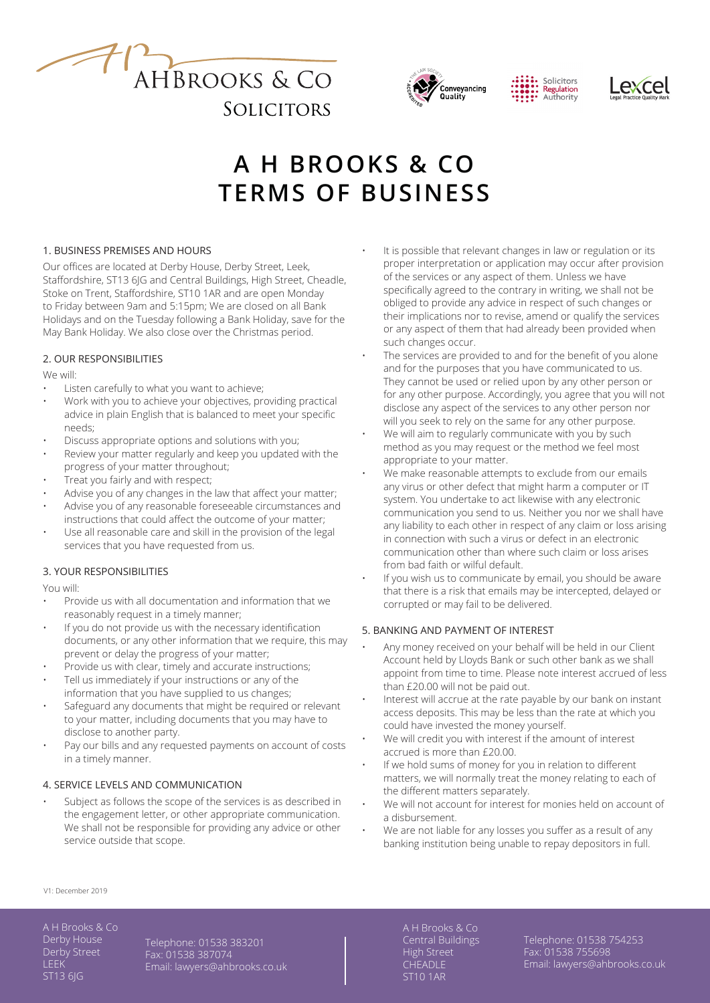





# **A H BROOKS & CO TERMS OF BUSINESS**

# 1. BUSINESS PREMISES AND HOURS

Our offices are located at Derby House, Derby Street, Leek, Staffordshire, ST13 6JG and Central Buildings, High Street, Cheadle, Stoke on Trent, Staffordshire, ST10 1AR and are open Monday to Friday between 9am and 5:15pm; We are closed on all Bank Holidays and on the Tuesday following a Bank Holiday, save for the May Bank Holiday. We also close over the Christmas period.

# 2. OUR RESPONSIBILITIES

We will:

- Listen carefully to what you want to achieve;
- Work with you to achieve your objectives, providing practical advice in plain English that is balanced to meet your specific needs;
- Discuss appropriate options and solutions with you;
- Review your matter regularly and keep you updated with the progress of your matter throughout;
- Treat you fairly and with respect;
- Advise you of any changes in the law that affect your matter;
- Advise you of any reasonable foreseeable circumstances and instructions that could affect the outcome of your matter;
- Use all reasonable care and skill in the provision of the legal services that you have requested from us.

# 3. YOUR RESPONSIBILITIES

You will:

- Provide us with all documentation and information that we reasonably request in a timely manner;
- If you do not provide us with the necessary identification documents, or any other information that we require, this may prevent or delay the progress of your matter;
- Provide us with clear, timely and accurate instructions; Tell us immediately if your instructions or any of the
- information that you have supplied to us changes; Safeguard any documents that might be required or relevant to your matter, including documents that you may have to disclose to another party.
- Pay our bills and any requested payments on account of costs in a timely manner.

# 4. SERVICE LEVELS AND COMMUNICATION

Subject as follows the scope of the services is as described in the engagement letter, or other appropriate communication. We shall not be responsible for providing any advice or other service outside that scope.

- It is possible that relevant changes in law or regulation or its proper interpretation or application may occur after provision of the services or any aspect of them. Unless we have specifically agreed to the contrary in writing, we shall not be obliged to provide any advice in respect of such changes or their implications nor to revise, amend or qualify the services or any aspect of them that had already been provided when such changes occur.
- The services are provided to and for the benefit of you alone and for the purposes that you have communicated to us. They cannot be used or relied upon by any other person or for any other purpose. Accordingly, you agree that you will not disclose any aspect of the services to any other person nor will you seek to rely on the same for any other purpose.
- We will aim to regularly communicate with you by such method as you may request or the method we feel most appropriate to your matter.
- We make reasonable attempts to exclude from our emails any virus or other defect that might harm a computer or IT system. You undertake to act likewise with any electronic communication you send to us. Neither you nor we shall have any liability to each other in respect of any claim or loss arising in connection with such a virus or defect in an electronic communication other than where such claim or loss arises from bad faith or wilful default.
- If you wish us to communicate by email, you should be aware that there is a risk that emails may be intercepted, delayed or corrupted or may fail to be delivered.

# 5. BANKING AND PAYMENT OF INTEREST

- Any money received on your behalf will be held in our Client Account held by Lloyds Bank or such other bank as we shall appoint from time to time. Please note interest accrued of less than £20.00 will not be paid out.
- Interest will accrue at the rate payable by our bank on instant access deposits. This may be less than the rate at which you could have invested the money yourself.
- We will credit you with interest if the amount of interest accrued is more than £20.00.
- If we hold sums of money for you in relation to different matters, we will normally treat the money relating to each of the different matters separately.
- We will not account for interest for monies held on account of a disbursement.
- We are not liable for any losses you suffer as a result of any banking institution being unable to repay depositors in full.

V1: December 2019

A H Brooks & Co Derby House Derby Street **LEEK** ST13 6JG

Telephone: 01538 383201 Fax: 01538 387074 Email: lawyers@ahbrooks.co.uk Central Buildings High Street **CHEADLE** ST10 1AR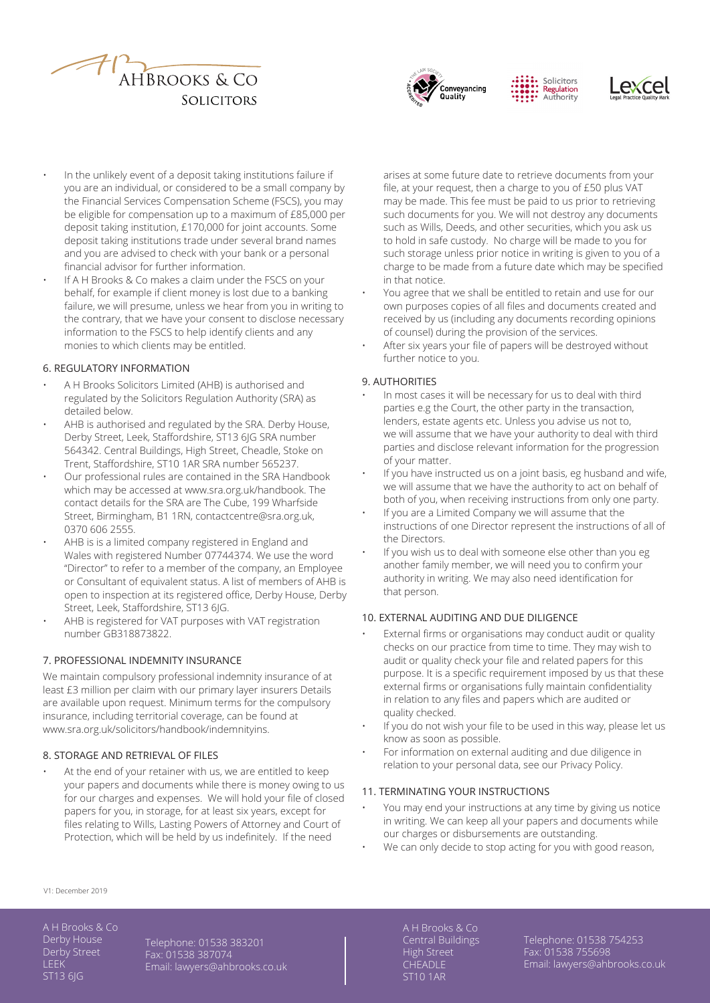





- In the unlikely event of a deposit taking institutions failure if you are an individual, or considered to be a small company by the Financial Services Compensation Scheme (FSCS), you may be eligible for compensation up to a maximum of £85,000 per deposit taking institution, £170,000 for joint accounts. Some deposit taking institutions trade under several brand names and you are advised to check with your bank or a personal financial advisor for further information.
- If A H Brooks & Co makes a claim under the FSCS on your behalf, for example if client money is lost due to a banking failure, we will presume, unless we hear from you in writing to the contrary, that we have your consent to disclose necessary information to the FSCS to help identify clients and any monies to which clients may be entitled.

#### 6. REGULATORY INFORMATION

- A H Brooks Solicitors Limited (AHB) is authorised and regulated by the Solicitors Regulation Authority (SRA) as detailed below.
- AHB is authorised and regulated by the SRA. Derby House, Derby Street, Leek, Staffordshire, ST13 6JG SRA number 564342. Central Buildings, High Street, Cheadle, Stoke on Trent, Staffordshire, ST10 1AR SRA number 565237.
- Our professional rules are contained in the SRA Handbook which may be accessed at www.sra.org.uk/handbook. The contact details for the SRA are The Cube, 199 Wharfside Street, Birmingham, B1 1RN, contactcentre@sra.org.uk, 0370 606 2555.
- AHB is is a limited company registered in England and Wales with registered Number 07744374. We use the word "Director" to refer to a member of the company, an Employee or Consultant of equivalent status. A list of members of AHB is open to inspection at its registered office, Derby House, Derby Street, Leek, Staffordshire, ST13 6JG.
- AHB is registered for VAT purposes with VAT registration number GB318873822.

## 7. PROFESSIONAL INDEMNITY INSURANCE

We maintain compulsory professional indemnity insurance of at least £3 million per claim with our primary layer insurers Details are available upon request. Minimum terms for the compulsory insurance, including territorial coverage, can be found at www.sra.org.uk/solicitors/handbook/indemnityins.

#### 8. STORAGE AND RETRIEVAL OF FILES

At the end of your retainer with us, we are entitled to keep your papers and documents while there is money owing to us for our charges and expenses. We will hold your file of closed papers for you, in storage, for at least six years, except for files relating to Wills, Lasting Powers of Attorney and Court of Protection, which will be held by us indefinitely. If the need

arises at some future date to retrieve documents from your file, at your request, then a charge to you of £50 plus VAT may be made. This fee must be paid to us prior to retrieving such documents for you. We will not destroy any documents such as Wills, Deeds, and other securities, which you ask us to hold in safe custody. No charge will be made to you for such storage unless prior notice in writing is given to you of a charge to be made from a future date which may be specified in that notice.

- You agree that we shall be entitled to retain and use for our own purposes copies of all files and documents created and received by us (including any documents recording opinions of counsel) during the provision of the services.
- After six years your file of papers will be destroyed without further notice to you.

#### 9. AUTHORITIES

- In most cases it will be necessary for us to deal with third parties e.g the Court, the other party in the transaction, lenders, estate agents etc. Unless you advise us not to, we will assume that we have your authority to deal with third parties and disclose relevant information for the progression of your matter.
- If you have instructed us on a joint basis, eg husband and wife, we will assume that we have the authority to act on behalf of both of you, when receiving instructions from only one party.
- If you are a Limited Company we will assume that the instructions of one Director represent the instructions of all of the Directors.
- If you wish us to deal with someone else other than you eg another family member, we will need you to confirm your authority in writing. We may also need identification for that person.

#### 10. EXTERNAL AUDITING AND DUE DILIGENCE

- External firms or organisations may conduct audit or quality checks on our practice from time to time. They may wish to audit or quality check your file and related papers for this purpose. It is a specific requirement imposed by us that these external firms or organisations fully maintain confidentiality in relation to any files and papers which are audited or quality checked.
- If you do not wish your file to be used in this way, please let us know as soon as possible.
- For information on external auditing and due diligence in relation to your personal data, see our Privacy Policy.

#### 11. TERMINATING YOUR INSTRUCTIONS

- You may end your instructions at any time by giving us notice in writing. We can keep all your papers and documents while our charges or disbursements are outstanding.
- We can only decide to stop acting for you with good reason,

V1: December 2019

A H Brooks & Co Derby House Derby Street LEEK ST13 6JG

Telephone: 01538 383201 Fax: 01538 387074 Email: lawyers@ahbrooks.co.uk Central Buildings High Street **CHEADLE** ST10 1AR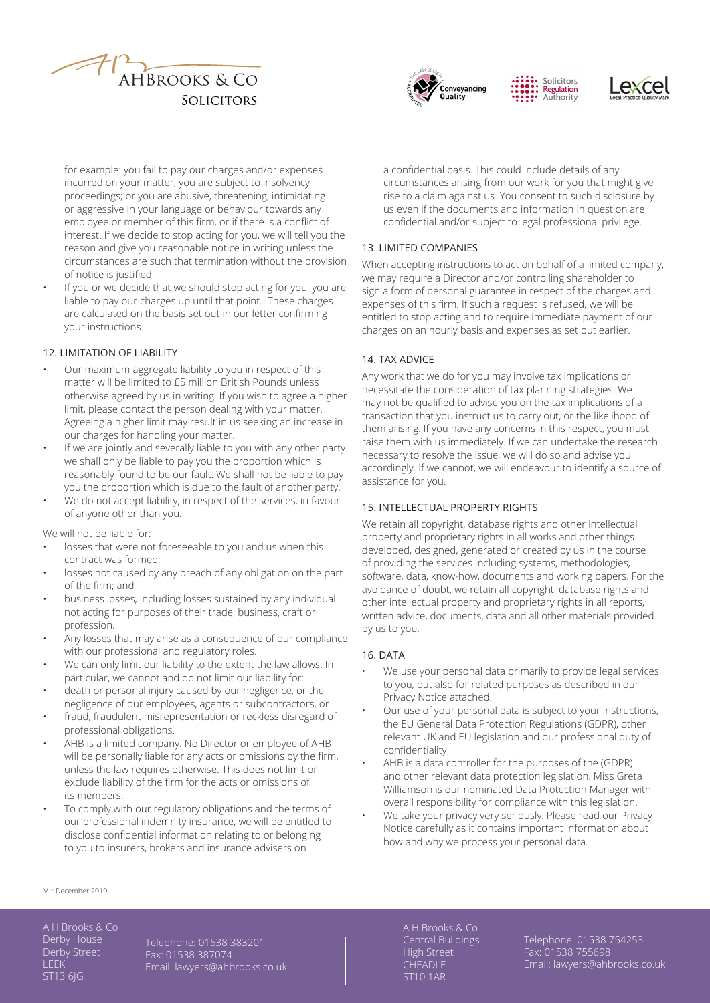





for example: you fail to pay our charges and/or expenses incurred on your matter; you are subject to insolvency proceedings; or you are abusive, threatening, intimidating or aggressive in your language or behaviour towards any employee or member of this firm, or if there is a conflict of interest. If we decide to stop acting for you, we will tell you the reason and give you reasonable notice in writing unless the circumstances are such that termination without the provision of notice is justified.

If you or we decide that we should stop acting for you, you are liable to pay our charges up until that point. These charges are calculated on the basis set out in our letter confirming your instructions.

# 12. LIMITATION OF LIABILITY

- Our maximum aggregate liability to you in respect of this matter will be limited to £5 million British Pounds unless otherwise agreed by us in writing. If you wish to agree a higher limit, please contact the person dealing with your matter. Agreeing a higher limit may result in us seeking an increase in our charges for handling your matter.
- If we are jointly and severally liable to you with any other party we shall only be liable to pay you the proportion which is reasonably found to be our fault. We shall not be liable to pay you the proportion which is due to the fault of another party.
- We do not accept liability, in respect of the services, in favour of anyone other than you.

We will not be liable for:

- losses that were not foreseeable to you and us when this contract was formed;
- losses not caused by any breach of any obligation on the part of the firm; and
- business losses, including losses sustained by any individual not acting for purposes of their trade, business, craft or profession.
- Any losses that may arise as a consequence of our compliance with our professional and regulatory roles.
- We can only limit our liability to the extent the law allows. In particular, we cannot and do not limit our liability for:
- death or personal injury caused by our negligence, or the negligence of our employees, agents or subcontractors, or
- fraud, fraudulent misrepresentation or reckless disregard of professional obligations.
- AHB is a limited company. No Director or employee of AHB will be personally liable for any acts or omissions by the firm, unless the law requires otherwise. This does not limit or exclude liability of the firm for the acts or omissions of its members.
- To comply with our regulatory obligations and the terms of our professional indemnity insurance, we will be entitled to disclose confidential information relating to or belonging to you to insurers, brokers and insurance advisers on

a confidential basis. This could include details of any circumstances arising from our work for you that might give rise to a claim against us. You consent to such disclosure by us even if the documents and information in question are confidential and/or subject to legal professional privilege.

# 13. LIMITED COMPANIES

When accepting instructions to act on behalf of a limited company, we may require a Director and/or controlling shareholder to sign a form of personal guarantee in respect of the charges and expenses of this firm. If such a request is refused, we will be entitled to stop acting and to require immediate payment of our charges on an hourly basis and expenses as set out earlier.

# 14. TAX ADVICE

Any work that we do for you may involve tax implications or necessitate the consideration of tax planning strategies. We may not be qualified to advise you on the tax implications of a transaction that you instruct us to carry out, or the likelihood of them arising. If you have any concerns in this respect, you must raise them with us immediately. If we can undertake the research necessary to resolve the issue, we will do so and advise you accordingly. If we cannot, we will endeavour to identify a source of assistance for you.

#### 15. INTELLECTUAL PROPERTY RIGHTS

We retain all copyright, database rights and other intellectual property and proprietary rights in all works and other things developed, designed, generated or created by us in the course of providing the services including systems, methodologies, software, data, know-how, documents and working papers. For the avoidance of doubt, we retain all copyright, database rights and other intellectual property and proprietary rights in all reports, written advice, documents, data and all other materials provided by us to you.

#### 16. DATA

- We use your personal data primarily to provide legal services to you, but also for related purposes as described in our Privacy Notice attached.
- Our use of your personal data is subject to your instructions, the EU General Data Protection Regulations (GDPR), other relevant UK and EU legislation and our professional duty of confidentiality
- AHB is a data controller for the purposes of the (GDPR) and other relevant data protection legislation. Miss Greta Williamson is our nominated Data Protection Manager with overall responsibility for compliance with this legislation.
- We take your privacy very seriously. Please read our Privacy Notice carefully as it contains important information about how and why we process your personal data.

#### V1: December 2019

A H Brooks & Co Derby House Derby Street LEEK ST13 6JG

Telephone: 01538 383201 Fax: 01538 387074 Email: lawyers@ahbrooks.co.uk Central Buildings High Street **CHEADLE** ST10 1AR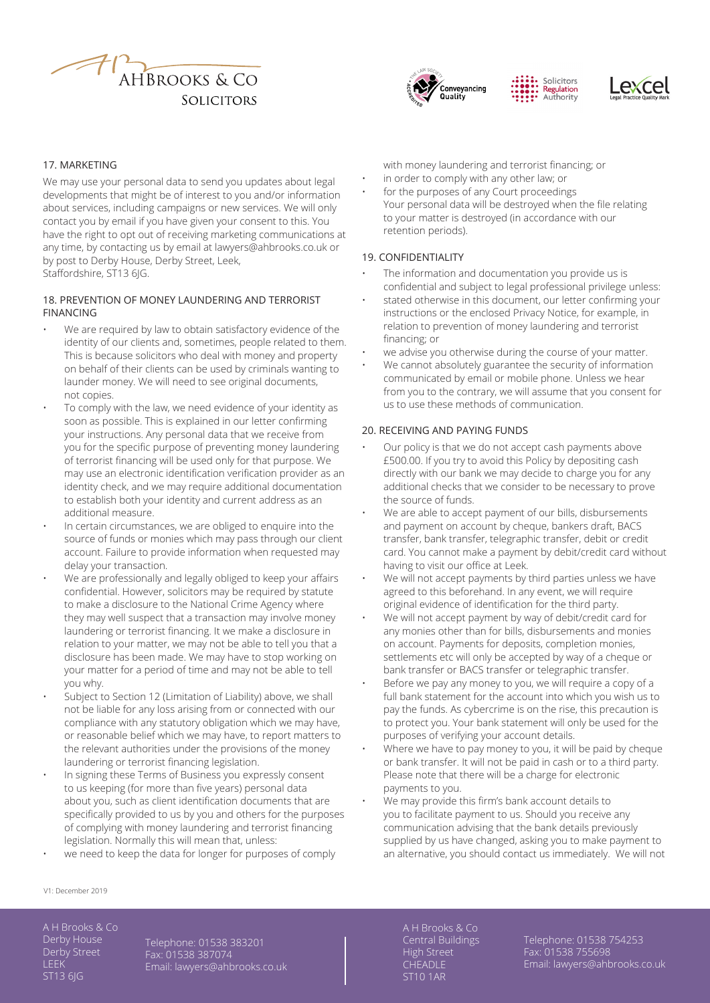







#### 17. MARKETING

We may use your personal data to send you updates about legal developments that might be of interest to you and/or information about services, including campaigns or new services. We will only contact you by email if you have given your consent to this. You have the right to opt out of receiving marketing communications at any time, by contacting us by email at lawyers@ahbrooks.co.uk or by post to Derby House, Derby Street, Leek, Staffordshire, ST13 6JG.

## 18. PREVENTION OF MONEY LAUNDERING AND TERRORIST FINANCING

- We are required by law to obtain satisfactory evidence of the identity of our clients and, sometimes, people related to them. This is because solicitors who deal with money and property on behalf of their clients can be used by criminals wanting to launder money. We will need to see original documents, not copies.
- To comply with the law, we need evidence of your identity as soon as possible. This is explained in our letter confirming your instructions. Any personal data that we receive from you for the specific purpose of preventing money laundering of terrorist financing will be used only for that purpose. We may use an electronic identification verification provider as an identity check, and we may require additional documentation to establish both your identity and current address as an additional measure.
- In certain circumstances, we are obliged to enquire into the source of funds or monies which may pass through our client account. Failure to provide information when requested may delay your transaction.
- We are professionally and legally obliged to keep your affairs confidential. However, solicitors may be required by statute to make a disclosure to the National Crime Agency where they may well suspect that a transaction may involve money laundering or terrorist financing. It we make a disclosure in relation to your matter, we may not be able to tell you that a disclosure has been made. We may have to stop working on your matter for a period of time and may not be able to tell you why.
- Subject to Section 12 (Limitation of Liability) above, we shall not be liable for any loss arising from or connected with our compliance with any statutory obligation which we may have, or reasonable belief which we may have, to report matters to the relevant authorities under the provisions of the money laundering or terrorist financing legislation.
- In signing these Terms of Business you expressly consent to us keeping (for more than five years) personal data about you, such as client identification documents that are specifically provided to us by you and others for the purposes of complying with money laundering and terrorist financing legislation. Normally this will mean that, unless:
- we need to keep the data for longer for purposes of comply

with money laundering and terrorist financing; or

- in order to comply with any other law; or
- for the purposes of any Court proceedings Your personal data will be destroyed when the file relating to your matter is destroyed (in accordance with our retention periods).

### 19. CONFIDENTIALITY

- The information and documentation you provide us is confidential and subject to legal professional privilege unless:
- stated otherwise in this document, our letter confirming your instructions or the enclosed Privacy Notice, for example, in relation to prevention of money laundering and terrorist financing; or
- we advise you otherwise during the course of your matter.
- We cannot absolutely guarantee the security of information communicated by email or mobile phone. Unless we hear from you to the contrary, we will assume that you consent for us to use these methods of communication.

#### 20. RECEIVING AND PAYING FUNDS

- Our policy is that we do not accept cash payments above £500.00. If you try to avoid this Policy by depositing cash directly with our bank we may decide to charge you for any additional checks that we consider to be necessary to prove the source of funds.
- We are able to accept payment of our bills, disbursements and payment on account by cheque, bankers draft, BACS transfer, bank transfer, telegraphic transfer, debit or credit card. You cannot make a payment by debit/credit card without having to visit our office at Leek.
- We will not accept payments by third parties unless we have agreed to this beforehand. In any event, we will require original evidence of identification for the third party.
- We will not accept payment by way of debit/credit card for any monies other than for bills, disbursements and monies on account. Payments for deposits, completion monies, settlements etc will only be accepted by way of a cheque or bank transfer or BACS transfer or telegraphic transfer.
- Before we pay any money to you, we will require a copy of a full bank statement for the account into which you wish us to pay the funds. As cybercrime is on the rise, this precaution is to protect you. Your bank statement will only be used for the purposes of verifying your account details.
- Where we have to pay money to you, it will be paid by cheque or bank transfer. It will not be paid in cash or to a third party. Please note that there will be a charge for electronic payments to you.
- We may provide this firm's bank account details to you to facilitate payment to us. Should you receive any communication advising that the bank details previously supplied by us have changed, asking you to make payment to an alternative, you should contact us immediately. We will not

#### V1: December 2019

A H Brooks & Co Derby House Derby Street LEEK ST13 6JG

Telephone: 01538 383201 Fax: 01538 387074 Email: lawyers@ahbrooks.co.uk Central Buildings High Street **CHEADLE** ST10 1AR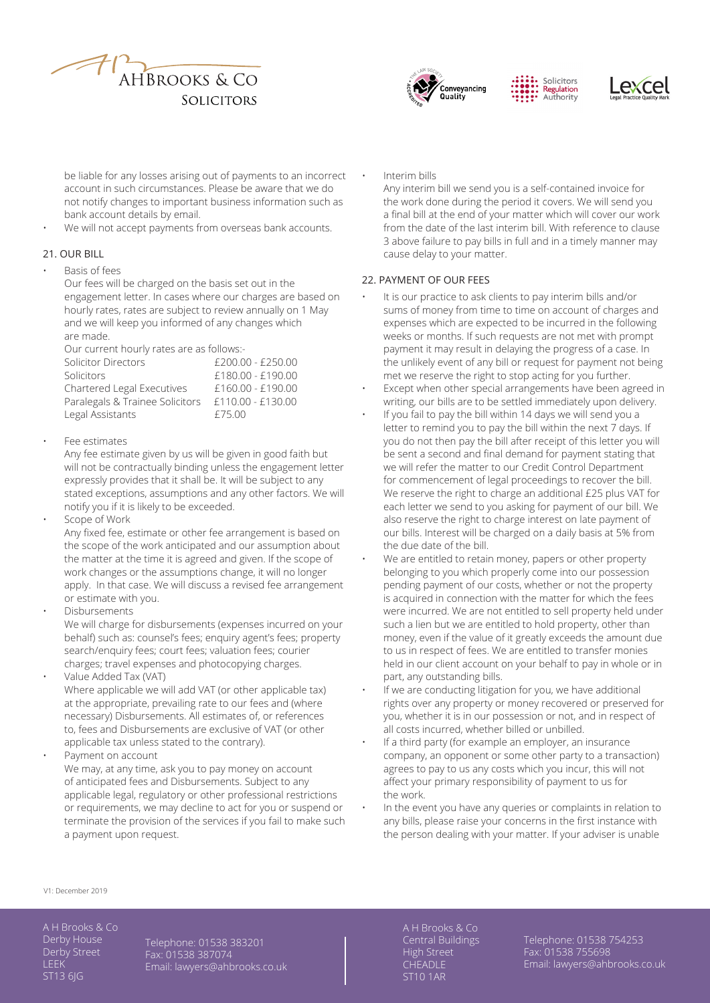





be liable for any losses arising out of payments to an incorrect account in such circumstances. Please be aware that we do not notify changes to important business information such as bank account details by email.

We will not accept payments from overseas bank accounts.

# 21. OUR BILL

#### • Basis of fees

Our fees will be charged on the basis set out in the engagement letter. In cases where our charges are based on hourly rates, rates are subject to review annually on 1 May and we will keep you informed of any changes which are made.

Our current hourly rates are as follows:-

| Solicitor Directors             | £200.00 - £250.00   |
|---------------------------------|---------------------|
| Solicitors                      | £180.00 - £190.00   |
| Chartered Legal Executives      | £160.00 - £190.00   |
| Paralegals & Trainee Solicitors | $£110.00 - £130.00$ |
| Legal Assistants                | £75.00              |
|                                 |                     |

• Fee estimates

Any fee estimate given by us will be given in good faith but will not be contractually binding unless the engagement letter expressly provides that it shall be. It will be subject to any stated exceptions, assumptions and any other factors. We will notify you if it is likely to be exceeded.

• Scope of Work

Any fixed fee, estimate or other fee arrangement is based on the scope of the work anticipated and our assumption about the matter at the time it is agreed and given. If the scope of work changes or the assumptions change, it will no longer apply. In that case. We will discuss a revised fee arrangement or estimate with you.

- **Disbursements** We will charge for disbursements (expenses incurred on your behalf) such as: counsel's fees; enquiry agent's fees; property search/enquiry fees; court fees; valuation fees; courier
- charges; travel expenses and photocopying charges. • Value Added Tax (VAT) Where applicable we will add VAT (or other applicable tax) at the appropriate, prevailing rate to our fees and (where necessary) Disbursements. All estimates of, or references to, fees and Disbursements are exclusive of VAT (or other

applicable tax unless stated to the contrary). Payment on account We may, at any time, ask you to pay money on account of anticipated fees and Disbursements. Subject to any applicable legal, regulatory or other professional restrictions or requirements, we may decline to act for you or suspend or terminate the provision of the services if you fail to make such a payment upon request.

• Interim bills Any interim bill we send you is a self-contained invoice for the work done during the period it covers. We will send you a final bill at the end of your matter which will cover our work from the date of the last interim bill. With reference to clause 3 above failure to pay bills in full and in a timely manner may cause delay to your matter.

# 22. PAYMENT OF OUR FEES

- It is our practice to ask clients to pay interim bills and/or sums of money from time to time on account of charges and expenses which are expected to be incurred in the following weeks or months. If such requests are not met with prompt payment it may result in delaying the progress of a case. In the unlikely event of any bill or request for payment not being met we reserve the right to stop acting for you further.
- Except when other special arrangements have been agreed in writing, our bills are to be settled immediately upon delivery.
- If you fail to pay the bill within 14 days we will send you a letter to remind you to pay the bill within the next 7 days. If you do not then pay the bill after receipt of this letter you will be sent a second and final demand for payment stating that we will refer the matter to our Credit Control Department for commencement of legal proceedings to recover the bill. We reserve the right to charge an additional £25 plus VAT for each letter we send to you asking for payment of our bill. We also reserve the right to charge interest on late payment of our bills. Interest will be charged on a daily basis at 5% from the due date of the bill.
- We are entitled to retain money, papers or other property belonging to you which properly come into our possession pending payment of our costs, whether or not the property is acquired in connection with the matter for which the fees were incurred. We are not entitled to sell property held under such a lien but we are entitled to hold property, other than money, even if the value of it greatly exceeds the amount due to us in respect of fees. We are entitled to transfer monies held in our client account on your behalf to pay in whole or in part, any outstanding bills.
- If we are conducting litigation for you, we have additional rights over any property or money recovered or preserved for you, whether it is in our possession or not, and in respect of all costs incurred, whether billed or unbilled.
- If a third party (for example an employer, an insurance company, an opponent or some other party to a transaction) agrees to pay to us any costs which you incur, this will not affect your primary responsibility of payment to us for the work.
- In the event you have any queries or complaints in relation to any bills, please raise your concerns in the first instance with the person dealing with your matter. If your adviser is unable

V1: December 2019

A H Brooks & Co Derby House Derby Street **LEEK** ST13 6JG

Telephone: 01538 383201 Fax: 01538 387074 Email: lawyers@ahbrooks.co.uk Central Buildings High Street **CHEADLE** ST10 1AR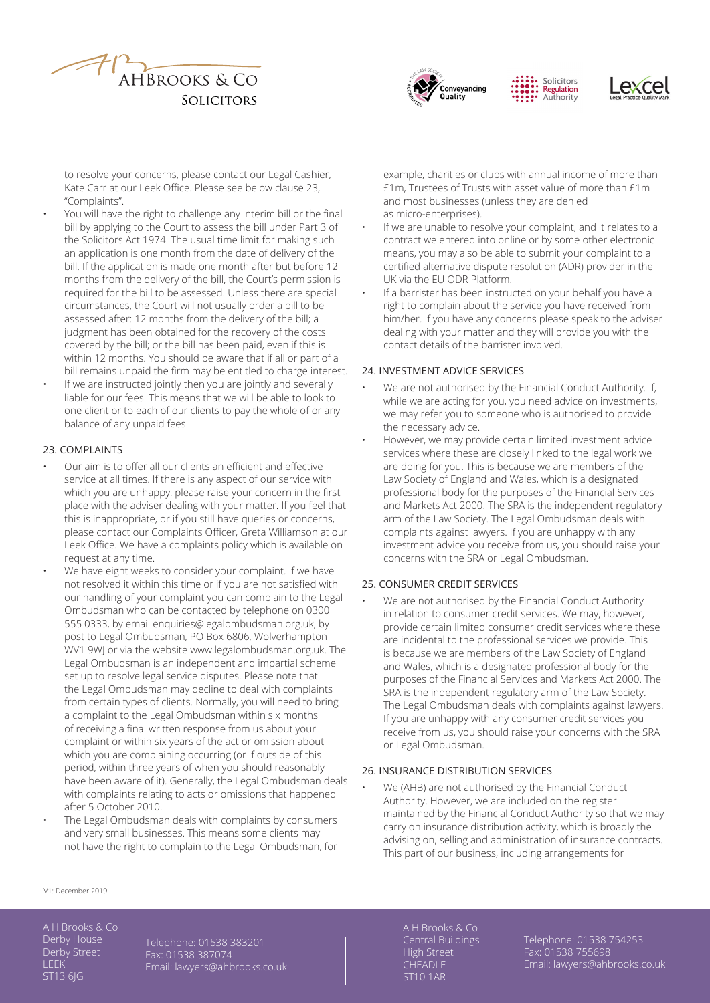





to resolve your concerns, please contact our Legal Cashier, Kate Carr at our Leek Office. Please see below clause 23, "Complaints".

- You will have the right to challenge any interim bill or the final bill by applying to the Court to assess the bill under Part 3 of the Solicitors Act 1974. The usual time limit for making such an application is one month from the date of delivery of the bill. If the application is made one month after but before 12 months from the delivery of the bill, the Court's permission is required for the bill to be assessed. Unless there are special circumstances, the Court will not usually order a bill to be assessed after: 12 months from the delivery of the bill; a judgment has been obtained for the recovery of the costs covered by the bill; or the bill has been paid, even if this is within 12 months. You should be aware that if all or part of a bill remains unpaid the firm may be entitled to charge interest.
- If we are instructed jointly then you are jointly and severally liable for our fees. This means that we will be able to look to one client or to each of our clients to pay the whole of or any balance of any unpaid fees.

## 23. COMPLAINTS

- Our aim is to offer all our clients an efficient and effective service at all times. If there is any aspect of our service with which you are unhappy, please raise your concern in the first place with the adviser dealing with your matter. If you feel that this is inappropriate, or if you still have queries or concerns, please contact our Complaints Officer, Greta Williamson at our Leek Office. We have a complaints policy which is available on request at any time.
- We have eight weeks to consider your complaint. If we have not resolved it within this time or if you are not satisfied with our handling of your complaint you can complain to the Legal Ombudsman who can be contacted by telephone on 0300 555 0333, by email enquiries@legalombudsman.org.uk, by post to Legal Ombudsman, PO Box 6806, Wolverhampton WV1 9WJ or via the website www.legalombudsman.org.uk. The Legal Ombudsman is an independent and impartial scheme set up to resolve legal service disputes. Please note that the Legal Ombudsman may decline to deal with complaints from certain types of clients. Normally, you will need to bring a complaint to the Legal Ombudsman within six months of receiving a final written response from us about your complaint or within six years of the act or omission about which you are complaining occurring (or if outside of this period, within three years of when you should reasonably have been aware of it). Generally, the Legal Ombudsman deals with complaints relating to acts or omissions that happened after 5 October 2010.
- The Legal Ombudsman deals with complaints by consumers and very small businesses. This means some clients may not have the right to complain to the Legal Ombudsman, for

example, charities or clubs with annual income of more than £1m, Trustees of Trusts with asset value of more than £1m and most businesses (unless they are denied as micro-enterprises).

- If we are unable to resolve your complaint, and it relates to a contract we entered into online or by some other electronic means, you may also be able to submit your complaint to a certified alternative dispute resolution (ADR) provider in the UK via the EU ODR Platform.
- If a barrister has been instructed on your behalf you have a right to complain about the service you have received from him/her. If you have any concerns please speak to the adviser dealing with your matter and they will provide you with the contact details of the barrister involved.

#### 24. INVESTMENT ADVICE SERVICES

- We are not authorised by the Financial Conduct Authority. If, while we are acting for you, you need advice on investments, we may refer you to someone who is authorised to provide the necessary advice.
- However, we may provide certain limited investment advice services where these are closely linked to the legal work we are doing for you. This is because we are members of the Law Society of England and Wales, which is a designated professional body for the purposes of the Financial Services and Markets Act 2000. The SRA is the independent regulatory arm of the Law Society. The Legal Ombudsman deals with complaints against lawyers. If you are unhappy with any investment advice you receive from us, you should raise your concerns with the SRA or Legal Ombudsman.

# 25. CONSUMER CREDIT SERVICES

We are not authorised by the Financial Conduct Authority in relation to consumer credit services. We may, however, provide certain limited consumer credit services where these are incidental to the professional services we provide. This is because we are members of the Law Society of England and Wales, which is a designated professional body for the purposes of the Financial Services and Markets Act 2000. The SRA is the independent regulatory arm of the Law Society. The Legal Ombudsman deals with complaints against lawyers. If you are unhappy with any consumer credit services you receive from us, you should raise your concerns with the SRA or Legal Ombudsman.

#### 26. INSURANCE DISTRIBUTION SERVICES

We (AHB) are not authorised by the Financial Conduct Authority. However, we are included on the register maintained by the Financial Conduct Authority so that we may carry on insurance distribution activity, which is broadly the advising on, selling and administration of insurance contracts. This part of our business, including arrangements for

V1: December 2019

A H Brooks & Co Derby House Derby Street LEEK ST13 6JG

Telephone: 01538 383201 Fax: 01538 387074 Email: lawyers@ahbrooks.co.uk Central Buildings High Street **CHEADLE** ST10 1AR